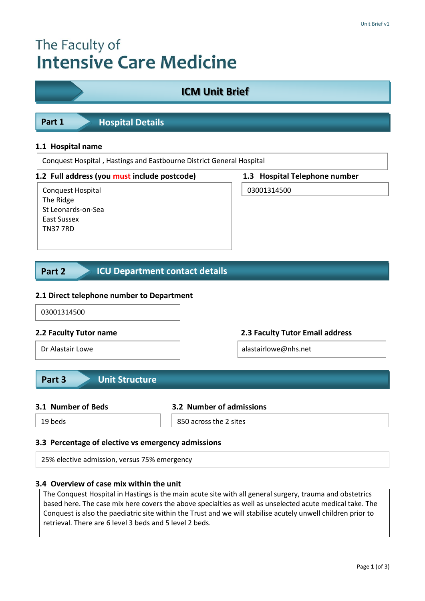# The Faculty of **Intensive Care Medicine**

| <b>ICM Unit Brief</b>                                                                                                                                                                         |                          |                                 |  |  |
|-----------------------------------------------------------------------------------------------------------------------------------------------------------------------------------------------|--------------------------|---------------------------------|--|--|
|                                                                                                                                                                                               |                          |                                 |  |  |
| Part 1<br><b>Hospital Details</b>                                                                                                                                                             |                          |                                 |  |  |
|                                                                                                                                                                                               |                          |                                 |  |  |
| 1.1 Hospital name<br>Conquest Hospital, Hastings and Eastbourne District General Hospital                                                                                                     |                          |                                 |  |  |
| 1.2 Full address (you must include postcode)                                                                                                                                                  |                          | 1.3 Hospital Telephone number   |  |  |
| Conquest Hospital<br>The Ridge<br>St Leonards-on-Sea<br><b>East Sussex</b><br><b>TN37 7RD</b><br><b>ICU Department contact details</b><br>Part 2<br>2.1 Direct telephone number to Department |                          | 03001314500                     |  |  |
| 03001314500                                                                                                                                                                                   |                          |                                 |  |  |
| 2.2 Faculty Tutor name                                                                                                                                                                        |                          | 2.3 Faculty Tutor Email address |  |  |
| Dr Alastair Lowe                                                                                                                                                                              |                          | alastairlowe@nhs.net            |  |  |
| <b>Unit Structure</b><br>Part 3                                                                                                                                                               |                          |                                 |  |  |
| 3.1 Number of Beds                                                                                                                                                                            | 3.2 Number of admissions |                                 |  |  |
| 19 heds                                                                                                                                                                                       | 850 across the 2 sites   |                                 |  |  |

## **3.3 Percentage of elective vs emergency admissions**

25% elective admission, versus 75% emergency

## **3.4 Overview of case mix within the unit**

The Conquest Hospital in Hastings is the main acute site with all general surgery, trauma and obstetrics based here. The case mix here covers the above specialties as well as unselected acute medical take. The Conquest is also the paediatric site within the Trust and we will stabilise acutely unwell children prior to retrieval. There are 6 level 3 beds and 5 level 2 beds.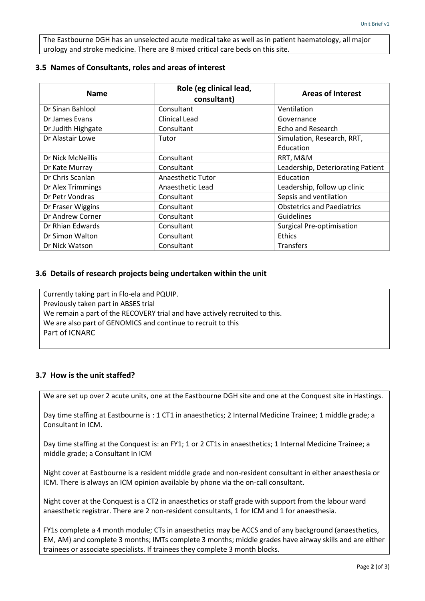The Eastbourne DGH has an unselected acute medical take as well as in patient haematology, all major urology and stroke medicine. There are 8 mixed critical care beds on this site.

## **3.5 Names of Consultants, roles and areas of interest**

| <b>Name</b>        | Role (eg clinical lead,<br>consultant) | <b>Areas of Interest</b>          |
|--------------------|----------------------------------------|-----------------------------------|
| Dr Sinan Bahlool   | Consultant                             | Ventilation                       |
| Dr James Evans     | Clinical Lead                          | Governance                        |
| Dr Judith Highgate | Consultant                             | Echo and Research                 |
| Dr Alastair Lowe   | Tutor                                  | Simulation, Research, RRT,        |
|                    |                                        | Education                         |
| Dr Nick McNeillis  | Consultant                             | RRT, M&M                          |
| Dr Kate Murray     | Consultant                             | Leadership, Deteriorating Patient |
| Dr Chris Scanlan   | Anaesthetic Tutor                      | Education                         |
| Dr Alex Trimmings  | Anaesthetic Lead                       | Leadership, follow up clinic      |
| Dr Petr Vondras    | Consultant                             | Sepsis and ventilation            |
| Dr Fraser Wiggins  | Consultant                             | <b>Obstetrics and Paediatrics</b> |
| Dr Andrew Corner   | Consultant                             | <b>Guidelines</b>                 |
| Dr Rhian Edwards   | Consultant                             | <b>Surgical Pre-optimisation</b>  |
| Dr Simon Walton    | Consultant                             | <b>Ethics</b>                     |
| Dr Nick Watson     | Consultant                             | Transfers                         |

## **3.6 Details of research projects being undertaken within the unit**

Currently taking part in Flo-ela and PQUIP. Previously taken part in ABSES trial We remain a part of the RECOVERY trial and have actively recruited to this. We are also part of GENOMICS and continue to recruit to this Part of ICNARC

## **3.7 How is the unit staffed?**

We are set up over 2 acute units, one at the Eastbourne DGH site and one at the Conquest site in Hastings.

Day time staffing at Eastbourne is : 1 CT1 in anaesthetics; 2 Internal Medicine Trainee; 1 middle grade; a Consultant in ICM.

Day time staffing at the Conquest is: an FY1; 1 or 2 CT1s in anaesthetics; 1 Internal Medicine Trainee; a middle grade; a Consultant in ICM

Night cover at Eastbourne is a resident middle grade and non-resident consultant in either anaesthesia or ICM. There is always an ICM opinion available by phone via the on-call consultant.

Night cover at the Conquest is a CT2 in anaesthetics or staff grade with support from the labour ward anaesthetic registrar. There are 2 non-resident consultants, 1 for ICM and 1 for anaesthesia.

FY1s complete a 4 month module; CTs in anaesthetics may be ACCS and of any background (anaesthetics, EM, AM) and complete 3 months; IMTs complete 3 months; middle grades have airway skills and are either trainees or associate specialists. If trainees they complete 3 month blocks.